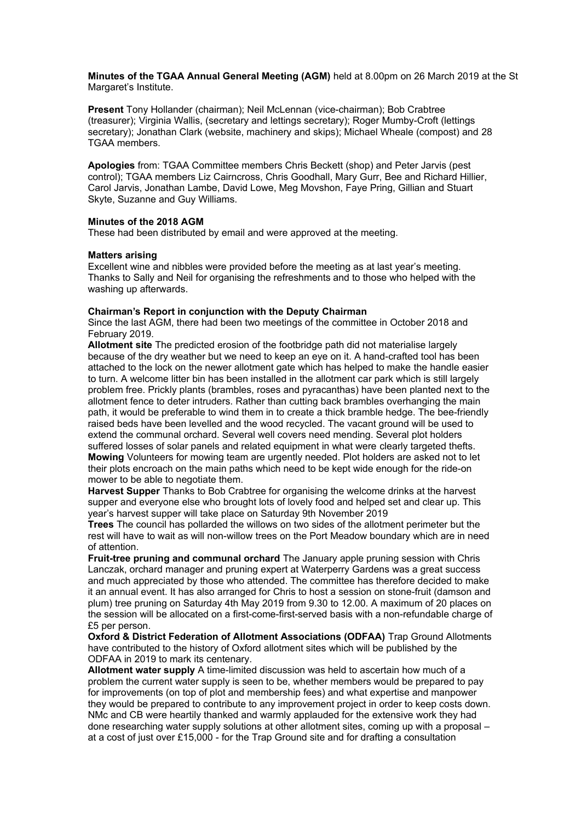**Minutes of the TGAA Annual General Meeting (AGM)** held at 8.00pm on 26 March 2019 at the St Margaret's Institute.

**Present** Tony Hollander (chairman); Neil McLennan (vice-chairman); Bob Crabtree (treasurer); Virginia Wallis, (secretary and lettings secretary); Roger Mumby-Croft (lettings secretary); Jonathan Clark (website, machinery and skips); Michael Wheale (compost) and 28 TGAA members.

**Apologies** from: TGAA Committee members Chris Beckett (shop) and Peter Jarvis (pest control); TGAA members Liz Cairncross, Chris Goodhall, Mary Gurr, Bee and Richard Hillier, Carol Jarvis, Jonathan Lambe, David Lowe, Meg Movshon, Faye Pring, Gillian and Stuart Skyte, Suzanne and Guy Williams.

## **Minutes of the 2018 AGM**

These had been distributed by email and were approved at the meeting.

## **Matters arising**

Excellent wine and nibbles were provided before the meeting as at last year's meeting. Thanks to Sally and Neil for organising the refreshments and to those who helped with the washing up afterwards.

## **Chairman's Report in conjunction with the Deputy Chairman**

Since the last AGM, there had been two meetings of the committee in October 2018 and February 2019.

**Allotment site** The predicted erosion of the footbridge path did not materialise largely because of the dry weather but we need to keep an eye on it. A hand-crafted tool has been attached to the lock on the newer allotment gate which has helped to make the handle easier to turn. A welcome litter bin has been installed in the allotment car park which is still largely problem free. Prickly plants (brambles, roses and pyracanthas) have been planted next to the allotment fence to deter intruders. Rather than cutting back brambles overhanging the main path, it would be preferable to wind them in to create a thick bramble hedge. The bee-friendly raised beds have been levelled and the wood recycled. The vacant ground will be used to extend the communal orchard. Several well covers need mending. Several plot holders suffered losses of solar panels and related equipment in what were clearly targeted thefts. **Mowing** Volunteers for mowing team are urgently needed. Plot holders are asked not to let their plots encroach on the main paths which need to be kept wide enough for the ride-on mower to be able to negotiate them.

**Harvest Supper** Thanks to Bob Crabtree for organising the welcome drinks at the harvest supper and everyone else who brought lots of lovely food and helped set and clear up. This year's harvest supper will take place on Saturday 9th November 2019

**Trees** The council has pollarded the willows on two sides of the allotment perimeter but the rest will have to wait as will non-willow trees on the Port Meadow boundary which are in need of attention.

**Fruit-tree pruning and communal orchard** The January apple pruning session with Chris Lanczak, orchard manager and pruning expert at Waterperry Gardens was a great success and much appreciated by those who attended. The committee has therefore decided to make it an annual event. It has also arranged for Chris to host a session on stone-fruit (damson and plum) tree pruning on Saturday 4th May 2019 from 9.30 to 12.00. A maximum of 20 places on the session will be allocated on a first-come-first-served basis with a non-refundable charge of £5 per person.

**Oxford & District Federation of Allotment Associations (ODFAA)** Trap Ground Allotments have contributed to the history of Oxford allotment sites which will be published by the ODFAA in 2019 to mark its centenary.

**Allotment water supply** A time-limited discussion was held to ascertain how much of a problem the current water supply is seen to be, whether members would be prepared to pay for improvements (on top of plot and membership fees) and what expertise and manpower they would be prepared to contribute to any improvement project in order to keep costs down. NMc and CB were heartily thanked and warmly applauded for the extensive work they had done researching water supply solutions at other allotment sites, coming up with a proposal – at a cost of just over £15,000 - for the Trap Ground site and for drafting a consultation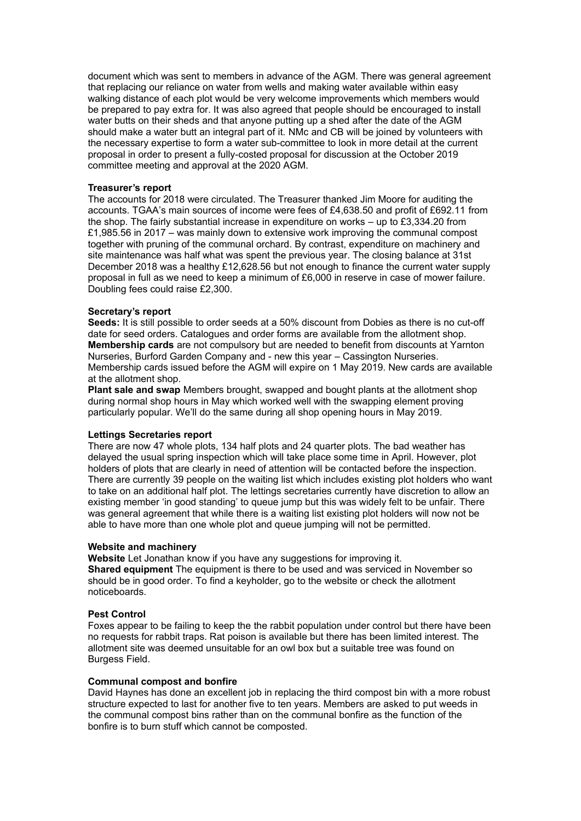document which was sent to members in advance of the AGM. There was general agreement that replacing our reliance on water from wells and making water available within easy walking distance of each plot would be very welcome improvements which members would be prepared to pay extra for. It was also agreed that people should be encouraged to install water butts on their sheds and that anyone putting up a shed after the date of the AGM should make a water butt an integral part of it. NMc and CB will be joined by volunteers with the necessary expertise to form a water sub-committee to look in more detail at the current proposal in order to present a fully-costed proposal for discussion at the October 2019 committee meeting and approval at the 2020 AGM.

## **Treasurer's report**

The accounts for 2018 were circulated. The Treasurer thanked Jim Moore for auditing the accounts. TGAA's main sources of income were fees of £4,638.50 and profit of £692.11 from the shop. The fairly substantial increase in expenditure on works – up to £3,334.20 from £1,985.56 in 2017 – was mainly down to extensive work improving the communal compost together with pruning of the communal orchard. By contrast, expenditure on machinery and site maintenance was half what was spent the previous year. The closing balance at 31st December 2018 was a healthy £12,628.56 but not enough to finance the current water supply proposal in full as we need to keep a minimum of £6,000 in reserve in case of mower failure. Doubling fees could raise £2,300.

## **Secretary's report**

**Seeds:** It is still possible to order seeds at a 50% discount from Dobies as there is no cut-off date for seed orders. Catalogues and order forms are available from the allotment shop. **Membership cards** are not compulsory but are needed to benefit from discounts at Yarnton Nurseries, Burford Garden Company and - new this year – Cassington Nurseries. Membership cards issued before the AGM will expire on 1 May 2019. New cards are available at the allotment shop.

**Plant sale and swap** Members brought, swapped and bought plants at the allotment shop during normal shop hours in May which worked well with the swapping element proving particularly popular. We'll do the same during all shop opening hours in May 2019.

#### **Lettings Secretaries report**

There are now 47 whole plots, 134 half plots and 24 quarter plots. The bad weather has delayed the usual spring inspection which will take place some time in April. However, plot holders of plots that are clearly in need of attention will be contacted before the inspection. There are currently 39 people on the waiting list which includes existing plot holders who want to take on an additional half plot. The lettings secretaries currently have discretion to allow an existing member 'in good standing' to queue jump but this was widely felt to be unfair. There was general agreement that while there is a waiting list existing plot holders will now not be able to have more than one whole plot and queue jumping will not be permitted.

#### **Website and machinery**

**Website** Let Jonathan know if you have any suggestions for improving it. **Shared equipment** The equipment is there to be used and was serviced in November so should be in good order. To find a keyholder, go to the website or check the allotment noticeboards.

## **Pest Control**

Foxes appear to be failing to keep the the rabbit population under control but there have been no requests for rabbit traps. Rat poison is available but there has been limited interest. The allotment site was deemed unsuitable for an owl box but a suitable tree was found on Burgess Field.

#### **Communal compost and bonfire**

David Haynes has done an excellent job in replacing the third compost bin with a more robust structure expected to last for another five to ten years. Members are asked to put weeds in the communal compost bins rather than on the communal bonfire as the function of the bonfire is to burn stuff which cannot be composted.